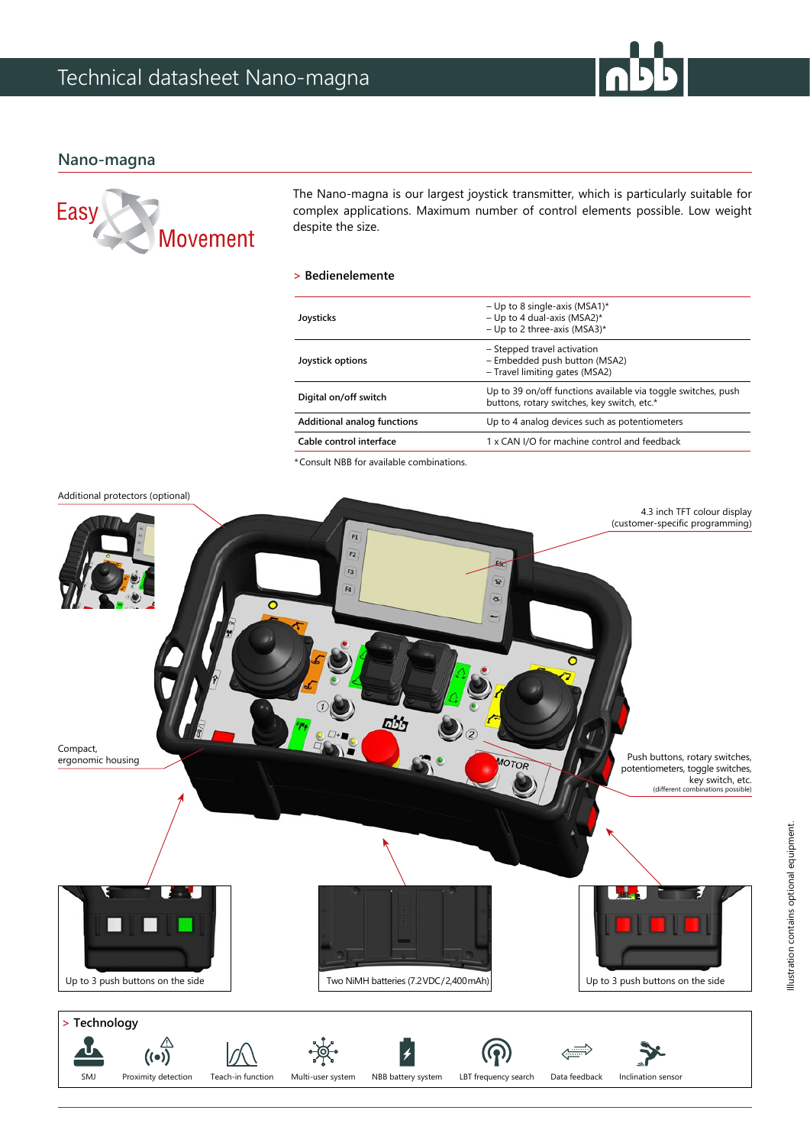## **Nano-magna**



The Nano-magna is our largest joystick transmitter, which is particularly suitable for complex applications. Maximum number of control elements possible. Low weight despite the size.

## **> Bedienelemente**

| Joysticks                   | - Up to 8 single-axis (MSA1)*<br>- Up to 4 dual-axis (MSA2)*<br>- Up to 2 three-axis (MSA3)*                 |
|-----------------------------|--------------------------------------------------------------------------------------------------------------|
| Joystick options            | - Stepped travel activation<br>- Embedded push button (MSA2)<br>- Travel limiting gates (MSA2)               |
| Digital on/off switch       | Up to 39 on/off functions available via toggle switches, push<br>buttons, rotary switches, key switch, etc.* |
| Additional analog functions | Up to 4 analog devices such as potentiometers                                                                |
| Cable control interface     | 1 x CAN I/O for machine control and feedback                                                                 |
|                             |                                                                                                              |

\*Consult NBB for available combinations.

#### Additional protectors (optional)